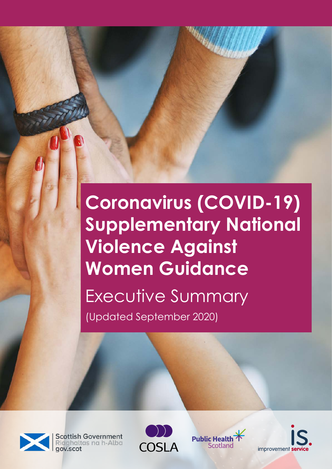# **Coronavirus (COVID-19) Supplementary National Violence Against Women Guidance** Executive Summary (Updated September 2020)



**Scottish Government** Riaghaltas na h-Alba





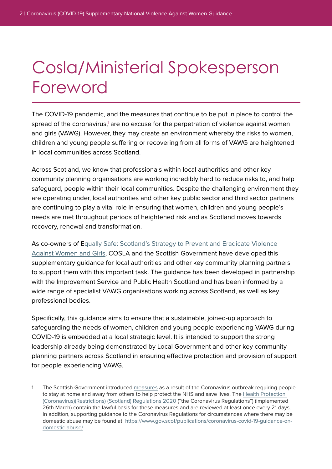# Cosla/Ministerial Spokesperson Foreword

The COVID-19 pandemic, and the measures that continue to be put in place to control the spread of the coronavirus,<sup>1</sup> are no excuse for the perpetration of violence against women and girls (VAWG). However, they may create an environment whereby the risks to women, children and young people suffering or recovering from all forms of VAWG are heightened in local communities across Scotland.

Across Scotland, we know that professionals within local authorities and other key community planning organisations are working incredibly hard to reduce risks to, and help safeguard, people within their local communities. Despite the challenging environment they are operating under, local authorities and other key public sector and third sector partners are continuing to play a vital role in ensuring that women, children and young people's needs are met throughout periods of heightened risk and as Scotland moves towards recovery, renewal and transformation.

As co-owners of E[qually Safe: Scotland's Strategy to Prevent and Eradicate Violence](https://www.gov.scot/publications/equally-safe-scotlands-strategy-prevent-eradicate-violence-against-women-girls/)  [Against Women and Girls,](https://www.gov.scot/publications/equally-safe-scotlands-strategy-prevent-eradicate-violence-against-women-girls/) COSLA and the Scottish Government have developed this supplementary guidance for local authorities and other key community planning partners to support them with this important task. The guidance has been developed in partnership with the Improvement Service and Public Health Scotland and has been informed by a wide range of specialist VAWG organisations working across Scotland, as well as key professional bodies.

Specifically, this guidance aims to ensure that a sustainable, joined-up approach to safeguarding the needs of women, children and young people experiencing VAWG during COVID-19 is embedded at a local strategic level. It is intended to support the strong leadership already being demonstrated by Local Government and other key community planning partners across Scotland in ensuring effective protection and provision of support for people experiencing VAWG.

<sup>1</sup> The Scottish Government introduced [measures](https://www.gov.scot/coronavirus-covid-19/) as a result of the Coronavirus outbreak requiring people to stay at home and away from others to help protect the NHS and save lives. The [Health Protection](https://www.legislation.gov.uk/ssi/2020/103/contents/made)  [\(Coronavirus\)\(Restrictions\) \(Scotland\) Regulations 2020](https://www.legislation.gov.uk/ssi/2020/103/contents/made) ("the Coronavirus Regulations") (implemented 26th March) contain the lawful basis for these measures and are reviewed at least once every 21 days. In addition, supporting guidance to the Coronavirus Regulations for circumstances where there may be domestic abuse may be found at [https://www.gov.scot/publications/coronavirus-covid-19-guidance-on](https://www.gov.scot/publications/coronavirus-covid-19-guidance-on-domestic-abuse/)[domestic-abuse/](https://www.gov.scot/publications/coronavirus-covid-19-guidance-on-domestic-abuse/)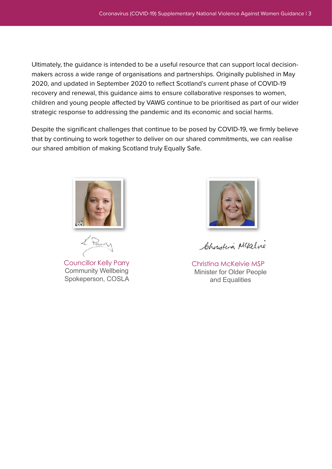Ultimately, the guidance is intended to be a useful resource that can support local decisionmakers across a wide range of organisations and partnerships. Originally published in May 2020, and updated in September 2020 to reflect Scotland's current phase of COVID-19 recovery and renewal, this guidance aims to ensure collaborative responses to women, children and young people affected by VAWG continue to be prioritised as part of our wider strategic response to addressing the pandemic and its economic and social harms.

Despite the significant challenges that continue to be posed by COVID-19, we firmly believe that by continuing to work together to deliver on our shared commitments, we can realise our shared ambition of making Scotland truly Equally Safe.



Councillor Kelly Parry Community Wellbeing Spokeperson, COSLA



Christina Mckelve

Christina McKelvie MSP Minister for Older People and Equalities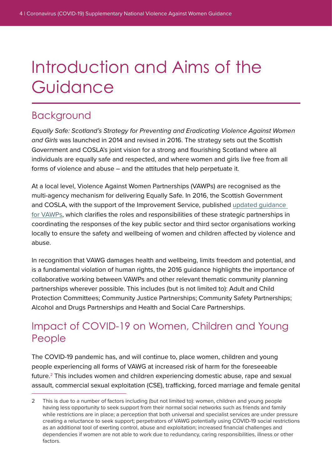# Introduction and Aims of the Guidance

### Background

Equally Safe: Scotland's Strategy for Preventing and Eradicating Violence Against Women and Girls was launched in 2014 and revised in 2016. The strategy sets out the Scottish Government and COSLA's joint vision for a strong and flourishing Scotland where all individuals are equally safe and respected, and where women and girls live free from all forms of violence and abuse – and the attitudes that help perpetuate it.

At a local level, Violence Against Women Partnerships (VAWPs) are recognised as the multi-agency mechanism for delivering Equally Safe. In 2016, the Scottish Government and COSLA, with the support of the Improvement Service, published [updated guidance](https://www.cosla.gov.uk/__data/assets/pdf_file/0019/18280/vawpartnershipguidance-aug-2016.pdf)  [for VAWPs,](https://www.cosla.gov.uk/__data/assets/pdf_file/0019/18280/vawpartnershipguidance-aug-2016.pdf) which clarifies the roles and responsibilities of these strategic partnerships in coordinating the responses of the key public sector and third sector organisations working locally to ensure the safety and wellbeing of women and children affected by violence and abuse.

In recognition that VAWG damages health and wellbeing, limits freedom and potential, and is a fundamental violation of human rights, the 2016 guidance highlights the importance of collaborative working between VAWPs and other relevant thematic community planning partnerships wherever possible. This includes (but is not limited to): Adult and Child Protection Committees; Community Justice Partnerships; Community Safety Partnerships; Alcohol and Drugs Partnerships and Health and Social Care Partnerships.

#### Impact of COVID-19 on Women, Children and Young People

The COVID-19 pandemic has, and will continue to, place women, children and young people experiencing all forms of VAWG at increased risk of harm for the foreseeable future.2 This includes women and children experiencing domestic abuse, rape and sexual assault, commercial sexual exploitation (CSE), trafficking, forced marriage and female genital

<sup>2</sup> This is due to a number of factors including (but not limited to): women, children and young people having less opportunity to seek support from their normal social networks such as friends and family while restrictions are in place; a perception that both universal and specialist services are under pressure creating a reluctance to seek support; perpetrators of VAWG potentially using COVID-19 social restrictions as an additional tool of exerting control, abuse and exploitation; increased financial challenges and dependencies if women are not able to work due to redundancy, caring responsibilities, illness or other factors.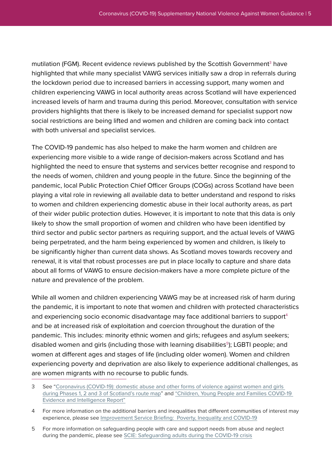mutilation (FGM). Recent evidence reviews published by the Scottish Government<sup>3</sup> have highlighted that while many specialist VAWG services initially saw a drop in referrals during the lockdown period due to increased barriers in accessing support, many women and children experiencing VAWG in local authority areas across Scotland will have experienced increased levels of harm and trauma during this period. Moreover, consultation with service providers highlights that there is likely to be increased demand for specialist support now social restrictions are being lifted and women and children are coming back into contact with both universal and specialist services.

The COVID-19 pandemic has also helped to make the harm women and children are experiencing more visible to a wide range of decision-makers across Scotland and has highlighted the need to ensure that systems and services better recognise and respond to the needs of women, children and young people in the future. Since the beginning of the pandemic, local Public Protection Chief Officer Groups (COGs) across Scotland have been playing a vital role in reviewing all available data to better understand and respond to risks to women and children experiencing domestic abuse in their local authority areas, as part of their wider public protection duties. However, it is important to note that this data is only likely to show the small proportion of women and children who have been identified by third sector and public sector partners as requiring support, and the actual levels of VAWG being perpetrated, and the harm being experienced by women and children, is likely to be significantly higher than current data shows. As Scotland moves towards recovery and renewal, it is vital that robust processes are put in place locally to capture and share data about all forms of VAWG to ensure decision-makers have a more complete picture of the nature and prevalence of the problem.

While all women and children experiencing VAWG may be at increased risk of harm during the pandemic, it is important to note that women and children with protected characteristics and experiencing socio economic disadvantage may face additional barriers to support<sup>4</sup> and be at increased risk of exploitation and coercion throughout the duration of the pandemic. This includes: minority ethnic women and girls; refugees and asylum seekers; disabled women and girls (including those with learning disabilities<sup>5</sup>); LGBTI people; and women at different ages and stages of life (including older women). Women and children experiencing poverty and deprivation are also likely to experience additional challenges, as are women migrants with no recourse to public funds.

<sup>3</sup> See ["Coronavirus \(COVID-19\): domestic abuse and other forms of violence against women and girls](https://www.gov.scot/isbn/9781800040786)  [during Phases 1, 2 and 3 of Scotland's route map"](https://www.gov.scot/isbn/9781800040786) and ["Children, Young People and Families COVID-19](https://www.gov.scot/publications/children-young-people-families-covid-19-evidence-intelligence-report/)  [Evidence and Intelligence Report"](https://www.gov.scot/publications/children-young-people-families-covid-19-evidence-intelligence-report/)

<sup>4</sup> For more information on the additional barriers and inequalities that different communities of interest may experience, please see [Improvement Service Briefing: Poverty, Inequality and COVID-19](https://www.improvementservice.org.uk/__data/assets/pdf_file/0013/16402/Poverty-inequality-and-COVID19-briefing.pdf)

<sup>5</sup> For more information on safeguarding people with care and support needs from abuse and neglect during the pandemic, please see [SCIE: Safeguarding adults during the COVID-19 crisis](https://www.scie.org.uk/care-providers/coronavirus-covid-19/safeguarding-adults)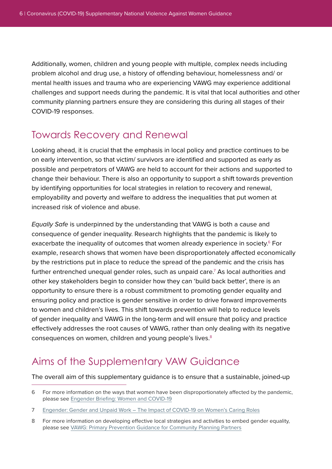Additionally, women, children and young people with multiple, complex needs including problem alcohol and drug use, a history of offending behaviour, homelessness and/ or mental health issues and trauma who are experiencing VAWG may experience additional challenges and support needs during the pandemic. It is vital that local authorities and other community planning partners ensure they are considering this during all stages of their COVID-19 responses.

#### Towards Recovery and Renewal

Looking ahead, it is crucial that the emphasis in local policy and practice continues to be on early intervention, so that victim/ survivors are identified and supported as early as possible and perpetrators of VAWG are held to account for their actions and supported to change their behaviour. There is also an opportunity to support a shift towards prevention by identifying opportunities for local strategies in relation to recovery and renewal, employability and poverty and welfare to address the inequalities that put women at increased risk of violence and abuse.

Equally Safe is underpinned by the understanding that VAWG is both a cause and consequence of gender inequality. Research highlights that the pandemic is likely to exacerbate the inequality of outcomes that women already experience in society.<sup>6</sup> For example, research shows that women have been disproportionately affected economically by the restrictions put in place to reduce the spread of the pandemic and the crisis has further entrenched unequal gender roles, such as unpaid care.7 As local authorities and other key stakeholders begin to consider how they can 'build back better', there is an opportunity to ensure there is a robust commitment to promoting gender equality and ensuring policy and practice is gender sensitive in order to drive forward improvements to women and children's lives. This shift towards prevention will help to reduce levels of gender inequality and VAWG in the long-term and will ensure that policy and practice effectively addresses the root causes of VAWG, rather than only dealing with its negative consequences on women, children and young people's lives.<sup>8</sup>

### Aims of the Supplementary VAW Guidance

The overall aim of this supplementary guidance is to ensure that a sustainable, joined-up

7 [Engender: Gender and Unpaid Work – The Impact of COVID-19 on Women's Caring Roles](https://www.engender.org.uk/content/publications/1594974358_Gender--unpaid-work---the-impact-of-Covid-19-on-womens-caring-roles.pdf)

<sup>6</sup> For more information on the ways that women have been disproportionately affected by the pandemic, please see [Engender Briefing: Women and COVID-19](https://www.engender.org.uk/content/publications/Engender-Briefing---Women-and-COVID-19.pdf)

<sup>8</sup> For more information on developing effective local strategies and activities to embed gender equality, please see [VAWG: Primary Prevention Guidance for Community Planning Partners](https://www.improvementservice.org.uk/__data/assets/pdf_file/0029/9668/primary-prevention-guidance.pdf)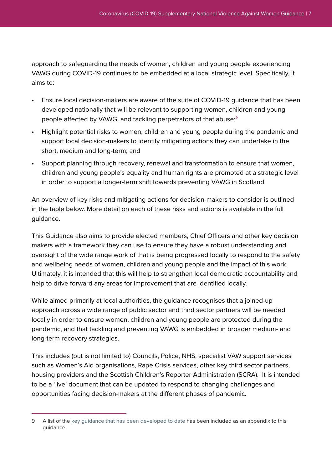approach to safeguarding the needs of women, children and young people experiencing VAWG during COVID-19 continues to be embedded at a local strategic level. Specifically, it aims to:

- Ensure local decision-makers are aware of the suite of COVID-19 guidance that has been developed nationally that will be relevant to supporting women, children and young people affected by VAWG, and tackling perpetrators of that abuse;<sup>9</sup>
- Highlight potential risks to women, children and young people during the pandemic and support local decision-makers to identify mitigating actions they can undertake in the short, medium and long-term; and
- Support planning through recovery, renewal and transformation to ensure that women, children and young people's equality and human rights are promoted at a strategic level in order to support a longer-term shift towards preventing VAWG in Scotland.

An overview of key risks and mitigating actions for decision-makers to consider is outlined in the table below. More detail on each of these risks and actions is available in the full guidance.

This Guidance also aims to provide elected members, Chief Officers and other key decision makers with a framework they can use to ensure they have a robust understanding and oversight of the wide range work of that is being progressed locally to respond to the safety and wellbeing needs of women, children and young people and the impact of this work. Ultimately, it is intended that this will help to strengthen local democratic accountability and help to drive forward any areas for improvement that are identified locally.

While aimed primarily at local authorities, the guidance recognises that a joined-up approach across a wide range of public sector and third sector partners will be needed locally in order to ensure women, children and young people are protected during the pandemic, and that tackling and preventing VAWG is embedded in broader medium- and long-term recovery strategies.

This includes (but is not limited to) Councils, Police, NHS, specialist VAW support services such as Women's Aid organisations, Rape Crisis services, other key third sector partners, housing providers and the Scottish Children's Reporter Administration (SCRA). It is intended to be a 'live' document that can be updated to respond to changing challenges and opportunities facing decision-makers at the different phases of pandemic.

<sup>9</sup> A list of the [key guidance that has been developed to date](#page-16-0) has been included as an appendix to this guidance.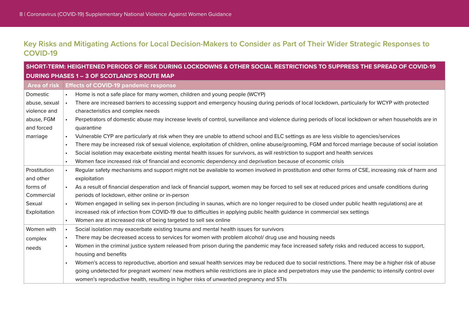#### **Key Risks and Mitigating Actions for Local Decision-Makers to Consider as Part of Their Wider Strategic Responses to COVID-19**

| SHORT-TERM: HEIGHTENED PERIODS OF RISK DURING LOCKDOWNS & OTHER SOCIAL RESTRICTIONS TO SUPPRESS THE SPREAD OF COVID-19 |                                                                                                                                                                   |  |  |  |
|------------------------------------------------------------------------------------------------------------------------|-------------------------------------------------------------------------------------------------------------------------------------------------------------------|--|--|--|
| <b>DURING PHASES 1 - 3 OF SCOTLAND'S ROUTE MAP</b>                                                                     |                                                                                                                                                                   |  |  |  |
|                                                                                                                        | Area of risk Effects of COVID-19 pandemic response                                                                                                                |  |  |  |
| Domestic                                                                                                               | Home is not a safe place for many women, children and young people (WCYP)                                                                                         |  |  |  |
| abuse, sexual                                                                                                          | There are increased barriers to accessing support and emergency housing during periods of local lockdown, particularly for WCYP with protected<br>$\bullet$       |  |  |  |
| violence and                                                                                                           | characteristics and complex needs                                                                                                                                 |  |  |  |
| abuse, FGM                                                                                                             | Perpetrators of domestic abuse may increase levels of control, surveillance and violence during periods of local lockdown or when households are in               |  |  |  |
| and forced                                                                                                             | quarantine                                                                                                                                                        |  |  |  |
| marriage                                                                                                               | Vulnerable CYP are particularly at risk when they are unable to attend school and ELC settings as are less visible to agencies/services                           |  |  |  |
|                                                                                                                        | There may be increased risk of sexual violence, exploitation of children, online abuse/grooming, FGM and forced marriage because of social isolation<br>$\bullet$ |  |  |  |
|                                                                                                                        | Social isolation may exacerbate existing mental health issues for survivors, as will restriction to support and health services<br>$\bullet$                      |  |  |  |
|                                                                                                                        | Women face increased risk of financial and economic dependency and deprivation because of economic crisis<br>$\bullet$                                            |  |  |  |
| Prostitution                                                                                                           | Regular safety mechanisms and support might not be available to women involved in prostitution and other forms of CSE, increasing risk of harm and<br>$\bullet$   |  |  |  |
| and other                                                                                                              | exploitation                                                                                                                                                      |  |  |  |
| forms of                                                                                                               | As a result of financial desperation and lack of financial support, women may be forced to sell sex at reduced prices and unsafe conditions during                |  |  |  |
| Commercial                                                                                                             | periods of lockdown, either online or in-person                                                                                                                   |  |  |  |
| Sexual                                                                                                                 | Women engaged in selling sex in-person (including in saunas, which are no longer required to be closed under public health regulations) are at                    |  |  |  |
| Exploitation                                                                                                           | increased risk of infection from COVID-19 due to difficulties in applying public health guidance in commercial sex settings                                       |  |  |  |
|                                                                                                                        | Women are at increased risk of being targeted to sell sex online<br>$\bullet$                                                                                     |  |  |  |
| Women with                                                                                                             | Social isolation may exacerbate existing trauma and mental health issues for survivors<br>$\bullet$                                                               |  |  |  |
| complex                                                                                                                | There may be decreased access to services for women with problem alcohol/ drug use and housing needs                                                              |  |  |  |
| needs                                                                                                                  | Women in the criminal justice system released from prison during the pandemic may face increased safety risks and reduced access to support,                      |  |  |  |
|                                                                                                                        | housing and benefits                                                                                                                                              |  |  |  |
|                                                                                                                        | Women's access to reproductive, abortion and sexual health services may be reduced due to social restrictions. There may be a higher risk of abuse                |  |  |  |
|                                                                                                                        | going undetected for pregnant women/ new mothers while restrictions are in place and perpetrators may use the pandemic to intensify control over                  |  |  |  |
|                                                                                                                        | women's reproductive health, resulting in higher risks of unwanted pregnancy and STIs                                                                             |  |  |  |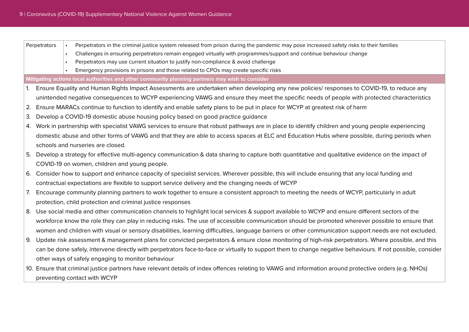| Perpetrators                                                | Perpetrators in the criminal justice system released from prison during the pandemic may pose increased safety risks to their families<br>$\bullet$         |  |  |  |
|-------------------------------------------------------------|-------------------------------------------------------------------------------------------------------------------------------------------------------------|--|--|--|
|                                                             | Challenges in ensuring perpetrators remain engaged virtually with programmes/support and continue behaviour change<br>$\bullet$                             |  |  |  |
|                                                             | Perpetrators may use current situation to justify non-compliance & avoid challenge                                                                          |  |  |  |
|                                                             | Emergency provisions in prisons and those related to CPOs may create specific risks                                                                         |  |  |  |
|                                                             | Mitigating actions local authorities and other community planning partners may wish to consider                                                             |  |  |  |
|                                                             | 1. Ensure Equality and Human Rights Impact Assessments are undertaken when developing any new policies/ responses to COVID-19, to reduce any                |  |  |  |
|                                                             | unintended negative consequences to WCYP experiencing VAWG and ensure they meet the specific needs of people with protected characteristics                 |  |  |  |
| 2.                                                          | Ensure MARACs continue to function to identify and enable safety plans to be put in place for WCYP at greatest risk of harm                                 |  |  |  |
| З.                                                          | Develop a COVID-19 domestic abuse housing policy based on good practice guidance                                                                            |  |  |  |
| 4.                                                          | Work in partnership with specialist VAWG services to ensure that robust pathways are in place to identify children and young people experiencing            |  |  |  |
|                                                             | domestic abuse and other forms of VAWG and that they are able to access spaces at ELC and Education Hubs where possible, during periods when                |  |  |  |
|                                                             | schools and nurseries are closed.                                                                                                                           |  |  |  |
|                                                             | Develop a strategy for effective multi-agency communication & data sharing to capture both quantitative and qualitative evidence on the impact of           |  |  |  |
|                                                             | COVID-19 on women, children and young people.                                                                                                               |  |  |  |
|                                                             | 6. Consider how to support and enhance capacity of specialist services. Wherever possible, this will include ensuring that any local funding and            |  |  |  |
|                                                             | contractual expectations are flexible to support service delivery and the changing needs of WCYP                                                            |  |  |  |
| 7.                                                          | Encourage community planning partners to work together to ensure a consistent approach to meeting the needs of WCYP, particularly in adult                  |  |  |  |
| protection, child protection and criminal justice responses |                                                                                                                                                             |  |  |  |
|                                                             | 8. Use social media and other communication channels to highlight local services & support available to WCYP and ensure different sectors of the            |  |  |  |
|                                                             | workforce know the role they can play in reducing risks. The use of accessible communication should be promoted wherever possible to ensure that            |  |  |  |
|                                                             | women and children with visual or sensory disabilities, learning difficulties, language barriers or other communication support needs are not excluded.     |  |  |  |
| 9.                                                          | Update risk assessment & management plans for convicted perpetrators & ensure close monitoring of high-risk perpetrators. Where possible, and this          |  |  |  |
|                                                             | can be done safely, intervene directly with perpetrators face-to-face or virtually to support them to change negative behaviours. If not possible, consider |  |  |  |
|                                                             |                                                                                                                                                             |  |  |  |
|                                                             | other ways of safely engaging to monitor behaviour                                                                                                          |  |  |  |
|                                                             | 10. Ensure that criminal justice partners have relevant details of index offences relating to VAWG and information around protective orders (e.g. NHOs)     |  |  |  |
|                                                             | preventing contact with WCYP                                                                                                                                |  |  |  |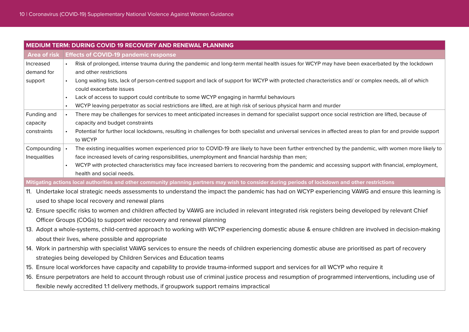| <b>MEDIUM TERM: DURING COVID 19 RECOVERY AND RENEWAL PLANNING</b>                                                                                             |                                                                                                                                                                                                                                                                     |  |  |  |
|---------------------------------------------------------------------------------------------------------------------------------------------------------------|---------------------------------------------------------------------------------------------------------------------------------------------------------------------------------------------------------------------------------------------------------------------|--|--|--|
|                                                                                                                                                               | Area of risk Effects of COVID-19 pandemic response                                                                                                                                                                                                                  |  |  |  |
| Increased                                                                                                                                                     | Risk of prolonged, intense trauma during the pandemic and long-term mental health issues for WCYP may have been exacerbated by the lockdown                                                                                                                         |  |  |  |
| demand for                                                                                                                                                    | and other restrictions                                                                                                                                                                                                                                              |  |  |  |
| Long waiting lists, lack of person-centred support and lack of support for WCYP with protected characteristics and/ or complex needs, all of which<br>support |                                                                                                                                                                                                                                                                     |  |  |  |
|                                                                                                                                                               | could exacerbate issues                                                                                                                                                                                                                                             |  |  |  |
|                                                                                                                                                               | Lack of access to support could contribute to some WCYP engaging in harmful behaviours                                                                                                                                                                              |  |  |  |
|                                                                                                                                                               | WCYP leaving perpetrator as social restrictions are lifted, are at high risk of serious physical harm and murder                                                                                                                                                    |  |  |  |
| Funding and                                                                                                                                                   | There may be challenges for services to meet anticipated increases in demand for specialist support once social restriction are lifted, because of                                                                                                                  |  |  |  |
| capacity                                                                                                                                                      | capacity and budget constraints                                                                                                                                                                                                                                     |  |  |  |
| constraints                                                                                                                                                   | Potential for further local lockdowns, resulting in challenges for both specialist and universal services in affected areas to plan for and provide support                                                                                                         |  |  |  |
|                                                                                                                                                               | to WCYP                                                                                                                                                                                                                                                             |  |  |  |
| Compounding<br>Inequalities                                                                                                                                   | The existing inequalities women experienced prior to COVID-19 are likely to have been further entrenched by the pandemic, with women more likely to<br>$\bullet$<br>face increased levels of caring responsibilities, unemployment and financial hardship than men; |  |  |  |
|                                                                                                                                                               | WCYP with protected characteristics may face increased barriers to recovering from the pandemic and accessing support with financial, employment,<br>$\bullet$                                                                                                      |  |  |  |
|                                                                                                                                                               | health and social needs.                                                                                                                                                                                                                                            |  |  |  |
|                                                                                                                                                               | Mitigating actions local authorities and other community planning partners may wish to consider during periods of lockdown and other restrictions                                                                                                                   |  |  |  |
|                                                                                                                                                               | 11. Undertake local strategic needs assessments to understand the impact the pandemic has had on WCYP experiencing VAWG and ensure this learning is                                                                                                                 |  |  |  |
|                                                                                                                                                               | used to shape local recovery and renewal plans                                                                                                                                                                                                                      |  |  |  |
|                                                                                                                                                               | 12. Ensure specific risks to women and children affected by VAWG are included in relevant integrated risk registers being developed by relevant Chief                                                                                                               |  |  |  |
| Officer Groups (COGs) to support wider recovery and renewal planning                                                                                          |                                                                                                                                                                                                                                                                     |  |  |  |
| 13. Adopt a whole-systems, child-centred approach to working with WCYP experiencing domestic abuse & ensure children are involved in decision-making          |                                                                                                                                                                                                                                                                     |  |  |  |
| about their lives, where possible and appropriate                                                                                                             |                                                                                                                                                                                                                                                                     |  |  |  |
| 14. Work in partnership with specialist VAWG services to ensure the needs of children experiencing domestic abuse are prioritised as part of recovery         |                                                                                                                                                                                                                                                                     |  |  |  |
| strategies being developed by Children Services and Education teams                                                                                           |                                                                                                                                                                                                                                                                     |  |  |  |
|                                                                                                                                                               | 15. Ensure local workforces have capacity and capability to provide trauma-informed support and services for all WCYP who require it                                                                                                                                |  |  |  |
|                                                                                                                                                               |                                                                                                                                                                                                                                                                     |  |  |  |
|                                                                                                                                                               | 16. Ensure perpetrators are held to account through robust use of criminal justice process and resumption of programmed interventions, including use of                                                                                                             |  |  |  |
|                                                                                                                                                               | flexible newly accredited 1:1 delivery methods, if groupwork support remains impractical                                                                                                                                                                            |  |  |  |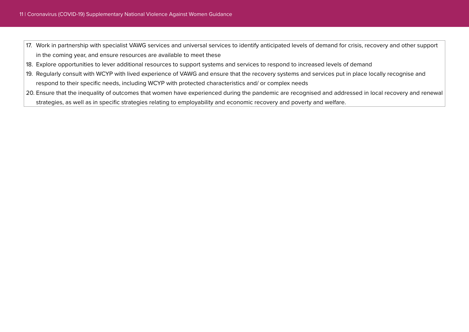- 17. Work in partnership with specialist VAWG services and universal services to identify anticipated levels of demand for crisis, recovery and other support in the coming year, and ensure resources are available to meet these
- 18. Explore opportunities to lever additional resources to support systems and services to respond to increased levels of demand
- 19. Regularly consult with WCYP with lived experience of VAWG and ensure that the recovery systems and services put in place locally recognise and respond to their specific needs, including WCYP with protected characteristics and/ or complex needs
- 20. Ensure that the inequality of outcomes that women have experienced during the pandemic are recognised and addressed in local recovery and renewal strategies, as well as in specific strategies relating to employability and economic recovery and poverty and welfare.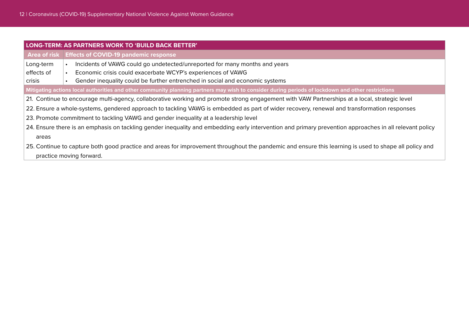| LONG-TERM: AS PARTNERS WORK TO 'BUILD BACK BETTER'                                                                                                      |                                                                                                                                                   |  |  |  |  |
|---------------------------------------------------------------------------------------------------------------------------------------------------------|---------------------------------------------------------------------------------------------------------------------------------------------------|--|--|--|--|
|                                                                                                                                                         | Area of risk   Effects of COVID-19 pandemic response                                                                                              |  |  |  |  |
| Long-term                                                                                                                                               | Incidents of VAWG could go undetected/unreported for many months and years                                                                        |  |  |  |  |
| effects of                                                                                                                                              | Economic crisis could exacerbate WCYP's experiences of VAWG                                                                                       |  |  |  |  |
| crisis                                                                                                                                                  | Gender inequality could be further entrenched in social and economic systems                                                                      |  |  |  |  |
|                                                                                                                                                         | Mitigating actions local authorities and other community planning partners may wish to consider during periods of lockdown and other restrictions |  |  |  |  |
|                                                                                                                                                         | 21. Continue to encourage multi-agency, collaborative working and promote strong engagement with VAW Partnerships at a local, strategic level     |  |  |  |  |
|                                                                                                                                                         | 22. Ensure a whole-systems, gendered approach to tackling VAWG is embedded as part of wider recovery, renewal and transformation responses        |  |  |  |  |
| 23. Promote commitment to tackling VAWG and gender inequality at a leadership level                                                                     |                                                                                                                                                   |  |  |  |  |
| 24. Ensure there is an emphasis on tackling gender inequality and embedding early intervention and primary prevention approaches in all relevant policy |                                                                                                                                                   |  |  |  |  |
| areas                                                                                                                                                   |                                                                                                                                                   |  |  |  |  |
| 25. Continue to capture both good practice and areas for improvement throughout the pandemic and ensure this learning is used to shape all policy and   |                                                                                                                                                   |  |  |  |  |
| practice moving forward.                                                                                                                                |                                                                                                                                                   |  |  |  |  |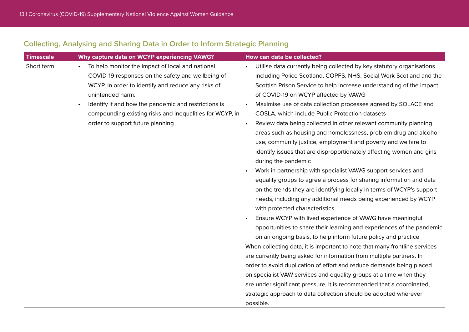#### **Collecting, Analysing and Sharing Data in Order to Inform Strategic Planning**

| <b>Timescale</b> | Why capture data on WCYP experiencing VAWG?              | How can data be collected?                                                    |  |  |
|------------------|----------------------------------------------------------|-------------------------------------------------------------------------------|--|--|
| Short term       | To help monitor the impact of local and national         | Utilise data currently being collected by key statutory organisations         |  |  |
|                  | COVID-19 responses on the safety and wellbeing of        | including Police Scotland, COPFS, NHS, Social Work Scotland and the           |  |  |
|                  | WCYP, in order to identify and reduce any risks of       | Scottish Prison Service to help increase understanding of the impact          |  |  |
|                  | unintended harm.                                         | of COVID-19 on WCYP affected by VAWG                                          |  |  |
|                  | Identify if and how the pandemic and restrictions is     | Maximise use of data collection processes agreed by SOLACE and                |  |  |
|                  | compounding existing risks and inequalities for WCYP, in | COSLA, which include Public Protection datasets                               |  |  |
|                  | order to support future planning                         | Review data being collected in other relevant community planning<br>$\bullet$ |  |  |
|                  |                                                          | areas such as housing and homelessness, problem drug and alcohol              |  |  |
|                  |                                                          | use, community justice, employment and poverty and welfare to                 |  |  |
|                  |                                                          | identify issues that are disproportionately affecting women and girls         |  |  |
|                  |                                                          | during the pandemic                                                           |  |  |
|                  |                                                          | Work in partnership with specialist VAWG support services and<br>$\bullet$    |  |  |
|                  |                                                          | equality groups to agree a process for sharing information and data           |  |  |
|                  |                                                          | on the trends they are identifying locally in terms of WCYP's support         |  |  |
|                  |                                                          | needs, including any additional needs being experienced by WCYP               |  |  |
|                  |                                                          | with protected characteristics                                                |  |  |
|                  |                                                          | Ensure WCYP with lived experience of VAWG have meaningful                     |  |  |
|                  |                                                          | opportunities to share their learning and experiences of the pandemic         |  |  |
|                  |                                                          | on an ongoing basis, to help inform future policy and practice                |  |  |
|                  |                                                          | When collecting data, it is important to note that many frontline services    |  |  |
|                  |                                                          | are currently being asked for information from multiple partners. In          |  |  |
|                  |                                                          | order to avoid duplication of effort and reduce demands being placed          |  |  |
|                  |                                                          | on specialist VAW services and equality groups at a time when they            |  |  |
|                  |                                                          | are under significant pressure, it is recommended that a coordinated,         |  |  |
|                  |                                                          | strategic approach to data collection should be adopted wherever              |  |  |
|                  |                                                          | possible.                                                                     |  |  |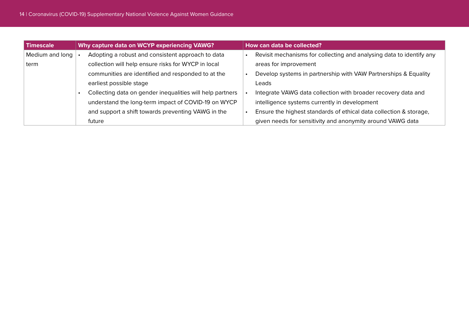| Timescale       | Why capture data on WCYP experiencing VAWG? |                                                           | How can data be collected? |                                                                      |  |
|-----------------|---------------------------------------------|-----------------------------------------------------------|----------------------------|----------------------------------------------------------------------|--|
| Medium and long |                                             | Adopting a robust and consistent approach to data         |                            | Revisit mechanisms for collecting and analysing data to identify any |  |
| term            |                                             | collection will help ensure risks for WYCP in local       |                            | areas for improvement                                                |  |
|                 |                                             | communities are identified and responded to at the        |                            | Develop systems in partnership with VAW Partnerships & Equality      |  |
|                 |                                             | earliest possible stage                                   |                            | Leads                                                                |  |
|                 |                                             | Collecting data on gender inequalities will help partners |                            | Integrate VAWG data collection with broader recovery data and        |  |
|                 |                                             | understand the long-term impact of COVID-19 on WYCP       |                            | intelligence systems currently in development                        |  |
|                 |                                             | and support a shift towards preventing VAWG in the        |                            | Ensure the highest standards of ethical data collection & storage,   |  |
|                 |                                             | future                                                    |                            | given needs for sensitivity and anonymity around VAWG data           |  |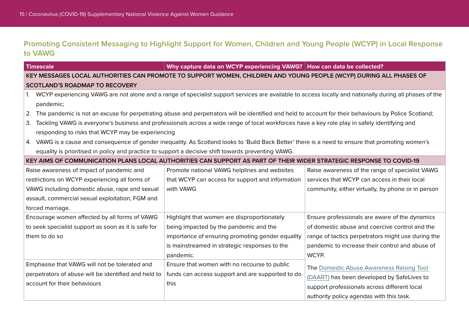#### **Promoting Consistent Messaging to Highlight Support for Women, Children and Young People (WCYP) in Local Response to VAWG**

| <b>Timescale</b>                                                                     |                                                                                                                                                            | Why capture data on WCYP experiencing VAWG?   How can data be collected?                                                                           |                                                    |  |  |
|--------------------------------------------------------------------------------------|------------------------------------------------------------------------------------------------------------------------------------------------------------|----------------------------------------------------------------------------------------------------------------------------------------------------|----------------------------------------------------|--|--|
|                                                                                      | KEY MESSAGES LOCAL AUTHORITIES CAN PROMOTE TO SUPPORT WOMEN, CHILDREN AND YOUNG PEOPLE (WCYP) DURING ALL PHASES OF                                         |                                                                                                                                                    |                                                    |  |  |
| <b>SCOTLAND'S ROADMAP TO RECOVERY</b>                                                |                                                                                                                                                            |                                                                                                                                                    |                                                    |  |  |
|                                                                                      | 1. WCYP experiencing VAWG are not alone and a range of specialist support services are available to access locally and nationally during all phases of the |                                                                                                                                                    |                                                    |  |  |
|                                                                                      | pandemic;                                                                                                                                                  |                                                                                                                                                    |                                                    |  |  |
|                                                                                      | 2. The pandemic is not an excuse for perpetrating abuse and perpetrators will be identified and held to account for their behaviours by Police Scotland;   |                                                                                                                                                    |                                                    |  |  |
|                                                                                      | 3. Tackling VAWG is everyone's business and professionals across a wide range of local workforces have a key role play in safely identifying and           |                                                                                                                                                    |                                                    |  |  |
|                                                                                      | responding to risks that WCYP may be experiencing                                                                                                          |                                                                                                                                                    |                                                    |  |  |
|                                                                                      |                                                                                                                                                            | 4. VAWG is a cause and consequence of gender inequality. As Scotland looks to 'Build Back Better' there is a need to ensure that promoting women's |                                                    |  |  |
|                                                                                      |                                                                                                                                                            | equality is prioritised in policy and practice to support a decisive shift towards preventing VAWG.                                                |                                                    |  |  |
|                                                                                      |                                                                                                                                                            | KEY AIMS OF COMMUNICATION PLANS LOCAL AUTHORITIES CAN SUPPORT AS PART OF THEIR WIDER STRATEGIC RESPONSE TO COVID-19                                |                                                    |  |  |
|                                                                                      | Raise awareness of impact of pandemic and                                                                                                                  | Promote national VAWG helplines and websites                                                                                                       | Raise awareness of the range of specialist VAWG    |  |  |
|                                                                                      | restrictions on WCYP experiencing all forms of                                                                                                             | that WCYP can access for support and information                                                                                                   | services that WCYP can access in their local       |  |  |
| VAWG including domestic abuse, rape and sexual                                       |                                                                                                                                                            | with VAWG                                                                                                                                          | community, either virtually, by phone or in person |  |  |
|                                                                                      | assault, commercial sexual exploitation, FGM and                                                                                                           |                                                                                                                                                    |                                                    |  |  |
|                                                                                      | forced marriage.                                                                                                                                           |                                                                                                                                                    |                                                    |  |  |
| Encourage women affected by all forms of VAWG                                        |                                                                                                                                                            | Highlight that women are disproportionately                                                                                                        | Ensure professionals are aware of the dynamics     |  |  |
| to seek specialist support as soon as it is safe for                                 |                                                                                                                                                            | being impacted by the pandemic and the                                                                                                             | of domestic abuse and coercive control and the     |  |  |
| them to do so                                                                        |                                                                                                                                                            | importance of ensuring promoting gender equality                                                                                                   | range of tactics perpetrators might use during the |  |  |
|                                                                                      |                                                                                                                                                            | is mainstreamed in strategic responses to the                                                                                                      | pandemic to increase their control and abuse of    |  |  |
|                                                                                      |                                                                                                                                                            | pandemic.                                                                                                                                          | WCYP.                                              |  |  |
| Emphasise that VAWG will not be tolerated and                                        |                                                                                                                                                            | Ensure that women with no recourse to public                                                                                                       | The Domestic Abuse Awareness Raising Tool          |  |  |
| perpetrators of abuse will be identified and held to<br>account for their behaviours |                                                                                                                                                            | funds can access support and are supported to do<br>this                                                                                           | (DAART) has been developed by SafeLives to         |  |  |
|                                                                                      |                                                                                                                                                            |                                                                                                                                                    | support professionals across different local       |  |  |
|                                                                                      |                                                                                                                                                            |                                                                                                                                                    | authority policy agendas with this task.           |  |  |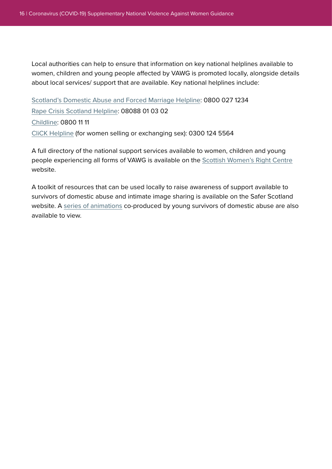Local authorities can help to ensure that information on key national helplines available to women, children and young people affected by VAWG is promoted locally, alongside details about local services/ support that are available. Key national helplines include:

[Scotland's Domestic Abuse and Forced Marriage Helpline](https://sdafmh.org.uk/): 0800 027 1234 [Rape Crisis Scotland Helpline](https://www.rapecrisisscotland.org.uk/help-helpline/): 08088 01 03 02 [Childline](https://www.childline.org.uk/): 0800 11 11 [CliCK Helpline](https://www.click.scot/) (for women selling or exchanging sex): 0300 124 5564

A full directory of the national support services available to women, children and young people experiencing all forms of VAWG is available on the **[Scottish Women's Right Centre]( https://www.scottishwomensrightscentre.org.uk/news/covid-19coronavirus-info/covid-19-support-available-for-women-experiencing-abuse/)** website.

A toolkit of resources that can be used locally to raise awareness of support available to survivors of domestic abuse and intimate image sharing is available on the Safer Scotland website. A [series of animations](https://www.youtube.com/channel/UC_xr-hGA5Uy_JBs41BFPcMQ) co-produced by young survivors of domestic abuse are also available to view.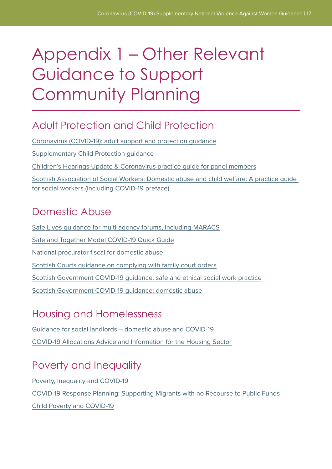# <span id="page-16-0"></span>Appendix 1 – Other Relevant Guidance to Support Community Planning

### Adult Protection and Child Protection

[Coronavirus \(COVID-19\): adult support and protection guidance](https://www.gov.scot/publications/coronavirus-covid-19-adult-support-and-protection-guidance/) [Supplementary Child Protection guidance](https://www.gov.scot/binaries/content/documents/govscot/publications/advice-and-guidance/2020/03/coronavirus-covid-19-supplementary-national-child-protection-guidance/documents/coronavirus-covid-19-supplementary-national-child-protection-guidance/coronavirus-covid-19-supplementary-national-child-protection-guidance/govscot%3Adocument/CORONAVIRUS%2B%2528COVID-19%2529%2BSUPPLEMENTARY%2BNATIONAL%2BCHILD%2BPROTECTION%2BGUIDANCE.pdf) [Children's Hearings Update & Coronavirus practice guide for panel members](http://www.chscotland.gov.uk/our-publications/practice/2020/04/coronavirus-practice-guide/) [Scottish Association of Social Workers: Domestic abuse and child welfare: A practice guide](https://www.basw.co.uk/media/news/2020/apr/domestic-abuse-and-child-welfare-practice-guide-social-workers)  [for social workers \(including COVID-19 preface\)](https://www.basw.co.uk/media/news/2020/apr/domestic-abuse-and-child-welfare-practice-guide-social-workers)

### Domestic Abuse

[Safe Lives guidance for multi-agency forums, including MARACS](https://safelives.org.uk/sites/default/files/resources/Marac%20guidance%20-%20COVID%2019.pdf) [Safe and Together Model COVID-19 Quick Guide](https://safeandtogetherinstitute.com/wp-content/uploads/2020/03/COVID19_QUICK-GUIDE_FINAL-032720.pdf) [National procurator fiscal for domestic abuse](https://communityjustice.scot/wp-content/uploads/2020/04/Update-in-relation-to-domestic-abuse-cases-during-the-Covid.pdf) [Scottish Courts guidance on complying with family court orders](https://www.scotcourts.gov.uk/docs/default-source/default-document-library/guidance-on-compliance-with-family-court-orders-27-03-20.docx?sfvrsn=0) [Scottish Government COVID-19 guidance: safe and ethical social work practice](https://www.gov.scot/publications/coronavirus-covid-19-social-worker-guidance-on-safe-contact/) [Scottish Government COVID-19 guidance: domestic abuse](https://www.gov.scot/publications/coronavirus-covid-19-guidance-on-domestic-abuse/pages/overview/)

### Housing and Homelessness

[Guidance for social landlords – domestic abuse and COVID-19](http://www.cih.org/resources/PDF/Policy%20free%20download%20pdfs/CV19%20Scotland%20Domestic%20Abuse%20guidance.pdf) [COVID-19 Allocations Advice and Information for the Housing Sector](https://www.gov.scot/binaries/content/documents/govscot/publications/advice-and-guidance/2020/04/coronavirus-covid-19-allocations-advice-and-information-for-the-housing-sector/documents/coronavirus-covid-19-allocations-advice-and-information-for-the-housing-sector/coronavirus-covid-19-allocations-advice-and-information-for-the-housing-sector/govscot%3Adocument/COVID-allocations.pdf)

## Poverty and Inequality

[Poverty, Inequality and COVID-19](https://www.improvementservice.org.uk/__data/assets/pdf_file/0013/16402/Poverty-inequality-and-COVID19-briefing.pdf) [COVID-19 Response Planning: Supporting Migrants with no Recourse to Public Funds](http://www.migrationscotland.org.uk/uploads/Guidance%20Covid%2019%20Supporting%20People%20with%20NRPF%20200420_0.pdf) [Child Poverty and COVID-19](https://www.improvementservice.org.uk/__data/assets/pdf_file/0026/17369/COVID-19-and-children-young-people.pdf)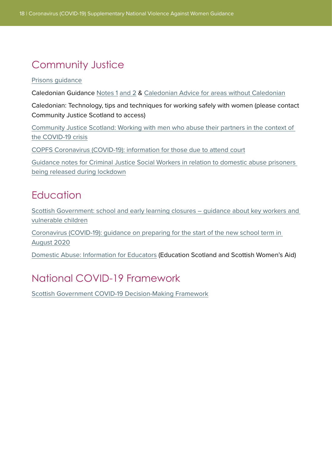## Community Justice

#### [Prisons guidance](https://communityjustice.scot/wp-content/uploads/2020/03/SHORE-AND-COVID-19-Interim-Guidance-26.03.20.pdf)

Caledonian Guidance [Notes 1](https://communityjustice.scot/wp-content/uploads/2020/03/Caledonian-guidance-re-Covid-19-002-003-final-25.3.20-.pdf) [and 2](https://communityjustice.scot/wp-content/uploads/2020/03/27.3.20-Issue-2-Caledonian-guidance-re-Covid-19.pdf) & [Caledonian Advice for areas without Caledonian](https://communityjustice.scot/wp-content/uploads/2020/04/1.4.20-Guidance-re-Covid-19-areas-without-access-to-the-Caledonian.pdf)

Caledonian: Technology, tips and techniques for working safely with women (please contact Community Justice Scotland to access)

[Community Justice Scotland: Working with men who abuse their partners in the context of](https://communityjustice.scot/wp-content/uploads/2020/04/Working-with-men-COVID-19-v1.0.pdf)  [the COVID-19 crisis](https://communityjustice.scot/wp-content/uploads/2020/04/Working-with-men-COVID-19-v1.0.pdf)

[COPFS Coronavirus \(COVID-19\): information for those due to attend court](https://www.copfs.gov.uk/media-site-news-from-copfs/1875-coronavirus-covid-19-information-for-those-due-to-attend-courthttps:/www.copfs.gov.uk/media-site-news-from-copfs/1875-coronavirus-covid-19-information-for-those-due-to-attend-court)

[Guidance notes for Criminal Justice Social Workers in relation to domestic abuse prisoners](https://communityjustice.scot/wp-content/uploads/2020/06/16.6.20-Guidance-Prisoner-Release-Domestic-Abuse-003.pdf)  [being released during lockdown](https://communityjustice.scot/wp-content/uploads/2020/06/16.6.20-Guidance-Prisoner-Release-Domestic-Abuse-003.pdf)

#### **Fducation**

[Scottish Government: school and early learning closures – guidance about key workers and](https://www.gov.scot/publications/coronavirus-guide-schools-early-learning-closures/)  [vulnerable children](https://www.gov.scot/publications/coronavirus-guide-schools-early-learning-closures/)

[Coronavirus \(COVID-19\): guidance on preparing for the start of the new school term in](https://www.gov.scot/publications/coronavirus-covid-19-guidance-preparing-start-new-school-term-august-2020/pages/4/)  [August 2020](https://www.gov.scot/publications/coronavirus-covid-19-guidance-preparing-start-new-school-term-august-2020/pages/4/)

[Domestic Abuse: Information for Educators](https://education.gov.scot/media/mkcmbu12/domestic-abuse-v3.pdf) (Education Scotland and Scottish Women's Aid)

### National COVID-19 Framework

[Scottish Government COVID-19 Decision-Making Framework](https://www.gov.scot/publications/coronavirus-covid-19-framework-decision-making/pages/3/)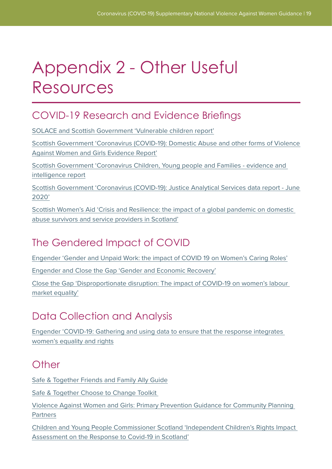# Appendix 2 - Other Useful Resources

### COVID-19 Research and Evidence Briefings

[SOLACE and Scottish Government 'Vulnerable children report'](https://www.gov.scot/publications/vulnerable-children-report-15-2020-scottish-government-solace/)

[Scottish Government 'Coronavirus \(COVID-19\): Domestic Abuse and other forms of Violence](https://www.gov.scot/publications/domestic-abuse-forms-violence-against-women-girls-vawg-during-covid-19-lockdown-period-30-3-20-22-05-20/)  [Against Women and Girls Evidence Report'](https://www.gov.scot/publications/domestic-abuse-forms-violence-against-women-girls-vawg-during-covid-19-lockdown-period-30-3-20-22-05-20/)

[Scottish Government 'Coronavirus Children, Young people and Families - evidence and](https://www.gov.scot/publications/children-young-people-families-covid-19-evidence-intelligence-report/)  [intelligence report](https://www.gov.scot/publications/children-young-people-families-covid-19-evidence-intelligence-report/)

[Scottish Government 'Coronavirus \(COVID-19\): Justice Analytical Services data report - June](https://www.gov.scot/publications/justice-analytical-services-coronavirus-covid-19-data-report-june-2020-edition/)  [2020'](https://www.gov.scot/publications/justice-analytical-services-coronavirus-covid-19-data-report-june-2020-edition/)

[Scottish Women's Aid 'Crisis and Resilience: the impact of a global pandemic on domestic](https://womensaid.scot/wp-content/uploads/2020/09/SWA-COVID-Report.pdf)  [abuse survivors and service providers in Scotland'](https://womensaid.scot/wp-content/uploads/2020/09/SWA-COVID-Report.pdf)

### The Gendered Impact of COVID

[Engender 'Gender and Unpaid Work: the impact of COVID 19 on Women's Caring Roles'](https://www.engender.org.uk/content/publications/1594974358_Gender--unpaid-work---the-impact-of-Covid-19-on-womens-caring-roles.pdf)

[Engender and Close the Gap 'Gender and Economic Recovery'](https://www.engender.org.uk/content/publications/Gender--Economic-Recovery---Engender-and-Close-the-Gap.pdf)

[Close the Gap 'Disproportionate disruption: The impact of COVID-19 on women's labour](https://www.closethegap.org.uk/content/resources/Disproportionate-Disruption---The-impact-of-COVID-19-on-womens-labour-market-equality.pdf)  [market equality'](https://www.closethegap.org.uk/content/resources/Disproportionate-Disruption---The-impact-of-COVID-19-on-womens-labour-market-equality.pdf)

## Data Collection and Analysis

[Engender 'COVID-19: Gathering and using data to ensure that the response integrates](https://www.engender.org.uk/content/publications/Covid-19-Gathering-and-using-data-to-ensure-that-the-response-integrates-womens-equality-and-rights.pdf)  [women's equality and rights](https://www.engender.org.uk/content/publications/Covid-19-Gathering-and-using-data-to-ensure-that-the-response-integrates-womens-equality-and-rights.pdf)

### **Other**

[Safe & Together Friends and Family Ally Guide](https://safeandtogetherinstitute.com/wp-content/uploads/2020/05/A4_AllyDoc_web.pdf)

[Safe & Together Choose to Change Toolkit](https://safeandtogetherinstitute.com/wp-content/uploads/2020/09/A4_MensToolKit_6252020_Bundle.pdf) 

[Violence Against Women and Girls: Primary Prevention Guidance for Community Planning](https://www.improvementservice.org.uk/__data/assets/pdf_file/0029/9668/primary-prevention-guidance.pdf)  **[Partners](https://www.improvementservice.org.uk/__data/assets/pdf_file/0029/9668/primary-prevention-guidance.pdf)** 

[Children and Young People Commissioner Scotland 'Independent Children's Rights Impact](https://cypcs.org.uk/coronavirus/independent-impact-assessment/)  [Assessment on the Response to Covid-19 in Scotland'](https://cypcs.org.uk/coronavirus/independent-impact-assessment/)